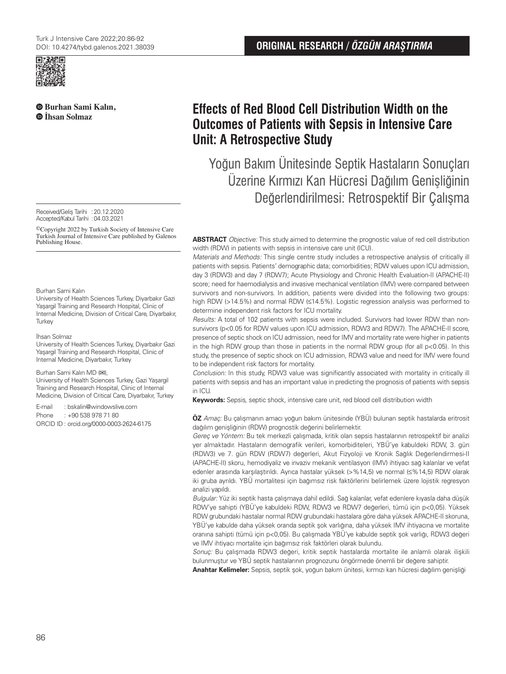

**Burhan Sami Kalın, İhsan Solmaz**

Received/Geliş Tarihi :20.12.2020 Accepted/Kabul Tarihi : 04.03.2021

©Copyright 2022 by Turkish Society of Intensive Care Turkish Journal of Intensive Care published by Galenos Publishing House.

#### Burhan Sami Kalın

University of Health Sciences Turkey, Diyarbakır Gazi Yaşargil Training and Research Hospital, Clinic of Internal Medicine, Division of Critical Care, Diyarbakır, **Turkey** 

#### İhsan Solmaz

University of Health Sciences Turkey, Diyarbakır Gazi Yaşargil Training and Research Hospital, Clinic of Internal Medicine, Diyarbakır, Turkey

#### Burhan Sami Kalın MD (**✉**),

University of Health Sciences Turkey, Gazi Yaşargil Training and Research Hospital, Clinic of Internal Medicine, Division of Critical Care, Diyarbakır, Turkey

E-mail : bskalin@windowslive.com

Phone : +90 538 978 71 80

ORCID ID : orcid.org/0000-0003-2624-6175

# **Effects of Red Blood Cell Distribution Width on the Outcomes of Patients with Sepsis in Intensive Care Unit: A Retrospective Study**

Yoğun Bakım Ünitesinde Septik Hastaların Sonuçları Üzerine Kırmızı Kan Hücresi Dağılım Genişliğinin Değerlendirilmesi: Retrospektif Bir Çalışma

**ABSTRACT** Objective: This study aimed to determine the prognostic value of red cell distribution width (RDW) in patients with sepsis in intensive care unit (ICU).

Materials and Methods: This single centre study includes a retrospective analysis of critically ill patients with sepsis. Patients' demographic data; comorbidities; RDW values upon ICU admission, day 3 (RDW3) and day 7 (RDW7); Acute Physiology and Chronic Health Evaluation-II (APACHE-II) score; need for haemodialysis and invasive mechanical ventilation (IMV) were compared between survivors and non-survivors. In addition, patients were divided into the following two groups: high RDW (>14.5%) and normal RDW (≤14.5%). Logistic regression analysis was performed to determine independent risk factors for ICU mortality.

Results: A total of 102 patients with sepsis were included. Survivors had lower RDW than nonsurvivors (p<0.05 for RDW values upon ICU admission, RDW3 and RDW7). The APACHE-II score, presence of septic shock on ICU admission, need for IMV and mortality rate were higher in patients in the high RDW group than those in patients in the normal RDW group (for all  $p < 0.05$ ). In this study, the presence of septic shock on ICU admission, RDW3 value and need for IMV were found to be independent risk factors for mortality.

Conclusion: In this study, RDW3 value was significantly associated with mortality in critically ill patients with sepsis and has an important value in predicting the prognosis of patients with sepsis in ICU.

**Keywords:** Sepsis, septic shock, intensive care unit, red blood cell distribution width

**ÖZ** Amaç: Bu çalışmanın amacı yoğun bakım ünitesinde (YBÜ) bulunan septik hastalarda eritrosit dağılım genişliğinin (RDW) prognostik değerini belirlemektir.

Gereç ve Yöntem: Bu tek merkezli çalışmada, kritik olan sepsis hastalarının retrospektif bir analizi yer almaktadır. Hastaların demografik verileri, komorbiditeleri, YBÜ'ye kabuldeki RDW, 3. gün (RDW3) ve 7. gün RDW (RDW7) değerleri, Akut Fizyoloji ve Kronik Sağlık Değerlendirmesi-II (APACHE-II) skoru, hemodiyaliz ve invaziv mekanik ventilasyon (IMV) ihtiyacı sağ kalanlar ve vefat edenler arasında karşılaştırıldı. Ayrıca hastalar yüksek (>%14,5) ve normal (≤%14,5) RDW olarak iki gruba ayrıldı. YBÜ mortalitesi için bağımsız risk faktörlerini belirlemek üzere lojistik regresyon analizi yapıldı.

Bulgular: Yüz iki septik hasta çalışmaya dahil edildi. Sağ kalanlar, vefat edenlere kıyasla daha düşük RDW'ye sahipti (YBÜ'ye kabuldeki RDW, RDW3 ve RDW7 değerleri, tümü için p<0,05). Yüksek RDW grubundaki hastalar normal RDW grubundaki hastalara göre daha yüksek APACHE-II skoruna, YBÜ'ye kabulde daha yüksek oranda septik şok varlığına, daha yüksek IMV ihtiyacına ve mortalite oranına sahipti (tümü için p<0,05). Bu çalışmada YBÜ'ye kabulde septik şok varlığı, RDW3 değeri ve IMV ihtiyacı mortalite için bağımsız risk faktörleri olarak bulundu.

Sonuç: Bu çalışmada RDW3 değeri, kritik septik hastalarda mortalite ile anlamlı olarak ilişkili bulunmuştur ve YBÜ septik hastalarının prognozunu öngörmede önemli bir değere sahiptir.

**Anahtar Kelimeler:** Sepsis, septik şok, yoğun bakım ünitesi, kırmızı kan hücresi dağılım genişliği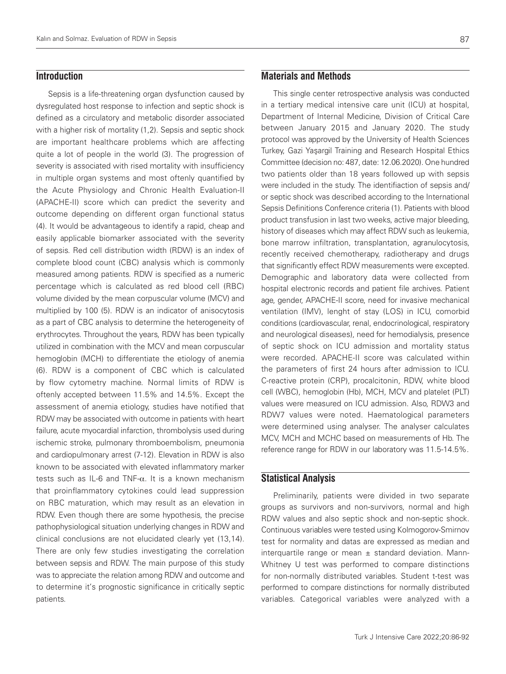# **Introduction**

Sepsis is a life-threatening organ dysfunction caused by dysregulated host response to infection and septic shock is defined as a circulatory and metabolic disorder associated with a higher risk of mortality (1,2). Sepsis and septic shock are important healthcare problems which are affecting quite a lot of people in the world (3). The progression of severity is associated with rised mortality with insufficiency in multiple organ systems and most oftenly quantified by the Acute Physiology and Chronic Health Evaluation-II (APACHE-II) score which can predict the severity and outcome depending on different organ functional status (4). It would be advantageous to identify a rapid, cheap and easily applicable biomarker associated with the severity of sepsis. Red cell distribution width (RDW) is an index of complete blood count (CBC) analysis which is commonly measured among patients. RDW is specified as a numeric percentage which is calculated as red blood cell (RBC) volume divided by the mean corpuscular volume (MCV) and multiplied by 100 (5). RDW is an indicator of anisocytosis as a part of CBC analysis to determine the heterogeneity of erythrocytes. Throughout the years, RDW has been typically utilized in combination with the MCV and mean corpuscular hemoglobin (MCH) to differentiate the etiology of anemia (6). RDW is a component of CBC which is calculated by flow cytometry machine. Normal limits of RDW is oftenly accepted between 11.5% and 14.5%. Except the assessment of anemia etiology, studies have notified that RDW may be associated with outcome in patients with heart failure, acute myocardial infarction, thrombolysis used during ischemic stroke, pulmonary thromboembolism, pneumonia and cardiopulmonary arrest (7-12). Elevation in RDW is also known to be associated with elevated inflammatory marker tests such as IL-6 and TNF- $α$ . It is a known mechanism that proinflammatory cytokines could lead suppression on RBC maturation, which may result as an elevation in RDW. Even though there are some hypothesis, the precise pathophysiological situation underlying changes in RDW and clinical conclusions are not elucidated clearly yet (13,14). There are only few studies investigating the correlation between sepsis and RDW. The main purpose of this study was to appreciate the relation among RDW and outcome and to determine it's prognostic significance in critically septic patients.

## 87

## **Materials and Methods**

This single center retrospective analysis was conducted in a tertiary medical intensive care unit (ICU) at hospital, Department of Internal Medicine, Division of Critical Care between January 2015 and January 2020. The study protocol was approved by the University of Health Sciences Turkey, Gazi Yaşargil Training and Research Hospital Ethics Committee (decision no: 487, date: 12.06.2020). One hundred two patients older than 18 years followed up with sepsis were included in the study. The identifiaction of sepsis and/ or septic shock was described according to the International Sepsis Definitions Conference criteria (1). Patients with blood product transfusion in last two weeks, active major bleeding, history of diseases which may affect RDW such as leukemia, bone marrow infiltration, transplantation, agranulocytosis, recently received chemotherapy, radiotherapy and drugs that significantly effect RDW measurements were excepted. Demographic and laboratory data were collected from hospital electronic records and patient file archives. Patient age, gender, APACHE-II score, need for invasive mechanical ventilation (IMV), lenght of stay (LOS) in ICU, comorbid conditions (cardiovascular, renal, endocrinological, respiratory and neurological diseases), need for hemodialysis, presence of septic shock on ICU admission and mortality status were recorded. APACHE-II score was calculated within the parameters of first 24 hours after admission to ICU. C-reactive protein (CRP), procalcitonin, RDW, white blood cell (WBC), hemoglobin (Hb), MCH, MCV and platelet (PLT) values were measured on ICU admission. Also, RDW3 and RDW7 values were noted. Haematological parameters were determined using analyser. The analyser calculates MCV, MCH and MCHC based on measurements of Hb. The reference range for RDW in our laboratory was 11.5-14.5%.

# **Statistical Analysis**

Preliminarily, patients were divided in two separate groups as survivors and non-survivors, normal and high RDW values and also septic shock and non-septic shock. Continuous variables were tested using Kolmogorov-Smirnov test for normality and datas are expressed as median and interquartile range or mean  $\pm$  standard deviation. Mann-Whitney U test was performed to compare distinctions for non-normally distributed variables. Student t-test was performed to compare distinctions for normally distributed variables. Categorical variables were analyzed with a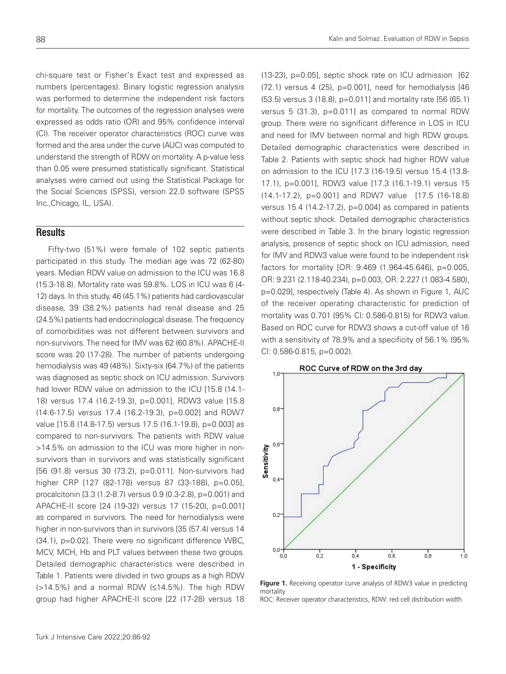chi-square test or Fisher's Exact test and expressed as numbers (percentages). Binary logistic regression analysis was performed to determine the independent risk factors for mortality. The outcomes of the regression analyses were expressed as odds ratio (OR) and 95% confidence interval (CI). The receiver operator characteristics (ROC) curve was formed and the area under the curve (AUC) was computed to understand the strength of RDW on mortality. A p-value less than 0.05 were presumed statistically significant. Statistical analyses were carried out using the Statistical Package for the Social Sciences (SPSS), version 22.0 software (SPSS Inc.,Chicago, IL, USA).

## **Results**

Fifty-two (51%) were female of 102 septic patients participated in this study. The median age was 72 (62-80) years. Median RDW value on admission to the ICU was 16.8 (15.3-18.8). Mortality rate was 59.8%. LOS in ICU was 6 (4- 12) days. In this study, 46 (45.1%) patients had cardiovascular disease, 39 (38.2%) patients had renal disease and 25 (24.5%) patients had endocrinological disease. The frequency of comorbidities was not different between survivors and non-survivors. The need for IMV was 62 (60.8%). APACHE-II score was 20 (17-28). The number of patients undergoing hemodialysis was 49 (48%). Sixty-six (64.7%) of the patients was diagnosed as septic shock on ICU admission. Survivors had lower RDW value on admission to the ICU [15.8 (14.1- 18) versus 17.4 (16.2-19.3), p=0.001], RDW3 value [15.8 (14.6-17.5) versus 17.4 (16.2-19.3), p=0.002] and RDW7 value [15.8 (14.8-17.5) versus 17.5 (16.1-19.8), p=0.003] as compared to non-survivors. The patients with RDW value >14.5% on admission to the ICU was more higher in nonsurvivors than in survivors and was statistically significant [56 (91.8) versus 30 (73.2), p=0.011]. Non-survivors had higher CRP [127 (82-178) versus 87 (33-188), p=0.05], procalcitonin [3.3 (1.2-8.7) versus 0.9 (0.3-2.8), p=0.001) and APACHE-II score [24 (19-32) versus 17 (15-20), p=0.001] as compared in survivors. The need for hemodialysis were higher in non-survivors than in survivors [35 (57.4) versus 14 (34.1), p=0.02]. There were no significant difference WBC, MCV, MCH, Hb and PLT values between these two groups. Detailed demographic characteristics were described in Table 1. Patients were divided in two groups as a high RDW (>14.5%) and a normal RDW (≤14.5%). The high RDW group had higher APACHE-II score [22 (17-28) versus 18 (13-23), p=0.05], septic shock rate on ICU admission [62 (72.1) versus 4 (25), p=0.001], need for hemodialysis [46 (53.5) versus 3 (18.8), p=0.011] and mortality rate [56 (65.1) versus 5 (31.3), p=0.011] as compared to normal RDW group. There were no significant difference in LOS in ICU and need for IMV between normal and high RDW groups. Detailed demographic characteristics were described in Table 2. Patients with septic shock had higher RDW value on admission to the ICU [17.3 (16-19.5) versus 15.4 (13.8- 17.1), p=0.001], RDW3 value [17.3 (16.1-19.1) versus 15 (14.1-17.2), p=0.001] and RDW7 value [17.5 (16-18.8) versus 15.4 (14.2-17.2), p=0.004] as compared in patients without septic shock. Detailed demographic characteristics were described in Table 3. In the binary logistic regression analysis, presence of septic shock on ICU admission, need for IMV and RDW3 value were found to be independent risk factors for mortality [OR: 9.469 (1.964-45.646), p=0.005, OR: 9.231 (2.118-40.234), p=0.003, OR: 2.227 (1.083-4.580), p=0.029], respectively (Table 4). As shown in Figure 1, AUC of the receiver operating characteristic for prediction of mortality was 0.701 (95% CI: 0.586-0.815) for RDW3 value. Based on ROC curve for RDW3 shows a cut-off value of 16 with a sensitivity of 78.9% and a specificity of 56.1% (95% CI: 0.586-0.815, p=0.002).



**Figure 1.** Receiving operator curve analysis of RDW3 value in predicting mortality

ROC: Receiver operator characteristics, RDW: red cell distribution width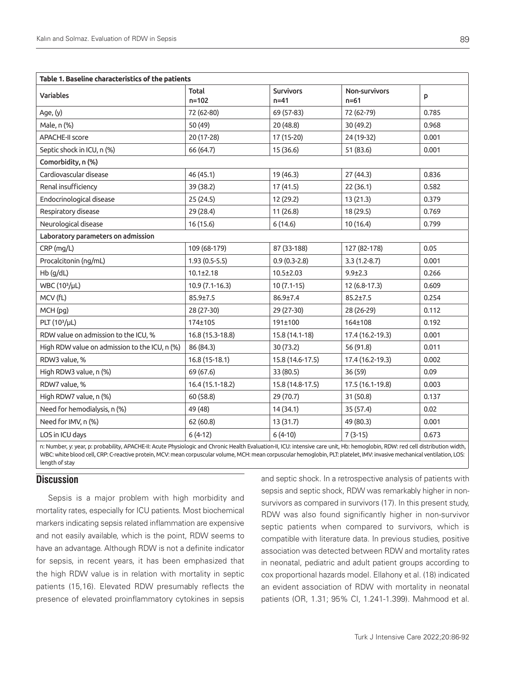| Table 1. Baseline characteristics of the patients                                                                                                                              |                    |                              |                                  |       |  |
|--------------------------------------------------------------------------------------------------------------------------------------------------------------------------------|--------------------|------------------------------|----------------------------------|-------|--|
| Variables                                                                                                                                                                      | Total<br>$n = 102$ | <b>Survivors</b><br>$n = 41$ | <b>Non-survivors</b><br>$n = 61$ | p     |  |
| Age, (y)                                                                                                                                                                       | 72 (62-80)         | 69 (57-83)                   | 72 (62-79)                       | 0.785 |  |
| Male, n (%)                                                                                                                                                                    | 50 (49)            | 20(48.8)                     | 30 (49.2)                        | 0.968 |  |
| <b>APACHE-II score</b>                                                                                                                                                         | 20 (17-28)         | 17 (15-20)                   | 24 (19-32)                       | 0.001 |  |
| Septic shock in ICU, n (%)                                                                                                                                                     | 66 (64.7)          | 15 (36.6)                    | 51 (83.6)                        | 0.001 |  |
| Comorbidity, n (%)                                                                                                                                                             |                    |                              |                                  |       |  |
| Cardiovascular disease                                                                                                                                                         | 46 (45.1)          | 19 (46.3)                    | 27 (44.3)                        | 0.836 |  |
| Renal insufficiency                                                                                                                                                            | 39 (38.2)          | 17 (41.5)                    | 22(36.1)                         | 0.582 |  |
| Endocrinological disease                                                                                                                                                       | 25 (24.5)          | 12 (29.2)                    | 13(21.3)                         | 0.379 |  |
| Respiratory disease                                                                                                                                                            | 29 (28.4)          | 11(26.8)                     | 18 (29.5)                        | 0.769 |  |
| Neurological disease                                                                                                                                                           | 16 (15.6)          | 6(14.6)                      | 10(16.4)                         | 0.799 |  |
| Laboratory parameters on admission                                                                                                                                             |                    |                              |                                  |       |  |
| CRP (mg/L)                                                                                                                                                                     | 109 (68-179)       | 87 (33-188)                  | 127 (82-178)                     | 0.05  |  |
| Procalcitonin (ng/mL)                                                                                                                                                          | $1.93(0.5-5.5)$    | $0.9(0.3-2.8)$               | $3.3(1.2-8.7)$                   | 0.001 |  |
| Hb (g/dL)                                                                                                                                                                      | $10.1 \pm 2.18$    | $10.5 \pm 2.03$              | $9.9 + 2.3$                      | 0.266 |  |
| WBC (10 <sup>3</sup> /µL)                                                                                                                                                      | 10.9 (7.1-16.3)    | $10(7.1-15)$                 | 12 (6.8-17.3)                    | 0.609 |  |
| MCV (fL)                                                                                                                                                                       | $85.9 \pm 7.5$     | 86.9±7.4                     | $85.2 \pm 7.5$                   | 0.254 |  |
| MCH (pg)                                                                                                                                                                       | 28 (27-30)         | 29 (27-30)                   | 28 (26-29)                       | 0.112 |  |
| PLT (10 <sup>3</sup> /µL)                                                                                                                                                      | 174±105            | 191±100                      | 164±108                          | 0.192 |  |
| RDW value on admission to the ICU, %                                                                                                                                           | 16.8 (15.3-18.8)   | 15.8 (14.1-18)               | 17.4 (16.2-19.3)                 | 0.001 |  |
| High RDW value on admission to the ICU, n (%)                                                                                                                                  | 86 (84.3)          | 30 (73.2)                    | 56 (91.8)                        | 0.011 |  |
| RDW3 value, %                                                                                                                                                                  | 16.8 (15-18.1)     | 15.8 (14.6-17.5)             | 17.4 (16.2-19.3)                 | 0.002 |  |
| High RDW3 value, n (%)                                                                                                                                                         | 69 (67.6)          | 33 (80.5)                    | 36 (59)                          | 0.09  |  |
| RDW7 value, %                                                                                                                                                                  | 16.4 (15.1-18.2)   | 15.8 (14.8-17.5)             | 17.5 (16.1-19.8)                 | 0.003 |  |
| High RDW7 value, n (%)                                                                                                                                                         | 60 (58.8)          | 29 (70.7)                    | 31(50.8)                         | 0.137 |  |
| Need for hemodialysis, n (%)                                                                                                                                                   | 49 (48)            | 14 (34.1)                    | 35 (57.4)                        | 0.02  |  |
| Need for IMV, n (%)                                                                                                                                                            | 62(60.8)           | 13 (31.7)                    | 49 (80.3)                        | 0.001 |  |
| LOS in ICU days                                                                                                                                                                | $6(4-12)$          | $6(4-10)$                    | $7(3-15)$                        | 0.673 |  |
| n: Number, y: year, p: probability, APACHE-II: Acute Physiologic and Chronic Health Evaluation-II, ICU: intensive care unit, Hb: hemoglobin, RDW: red cell distribution width, |                    |                              |                                  |       |  |

WBC: white blood cell, CRP: C-reactive protein, MCV: mean corpuscular volume, MCH: mean corpuscular hemoglobin, PLT: platelet, IMV: invasive mechanical ventilation, LOS: length of stay

# **Discussion**

Sepsis is a major problem with high morbidity and mortality rates, especially for ICU patients. Most biochemical markers indicating sepsis related inflammation are expensive and not easily available, which is the point, RDW seems to have an advantage. Although RDW is not a definite indicator for sepsis, in recent years, it has been emphasized that the high RDW value is in relation with mortality in septic patients (15,16). Elevated RDW presumably reflects the presence of elevated proinflammatory cytokines in sepsis and septic shock. In a retrospective analysis of patients with sepsis and septic shock, RDW was remarkably higher in nonsurvivors as compared in survivors (17). In this present study, RDW was also found significantly higher in non-survivor septic patients when compared to survivors, which is compatible with literature data. In previous studies, positive association was detected between RDW and mortality rates in neonatal, pediatric and adult patient groups according to cox proportional hazards model. Ellahony et al. (18) indicated an evident association of RDW with mortality in neonatal patients (OR, 1.31; 95% CI, 1.241-1.399). Mahmood et al.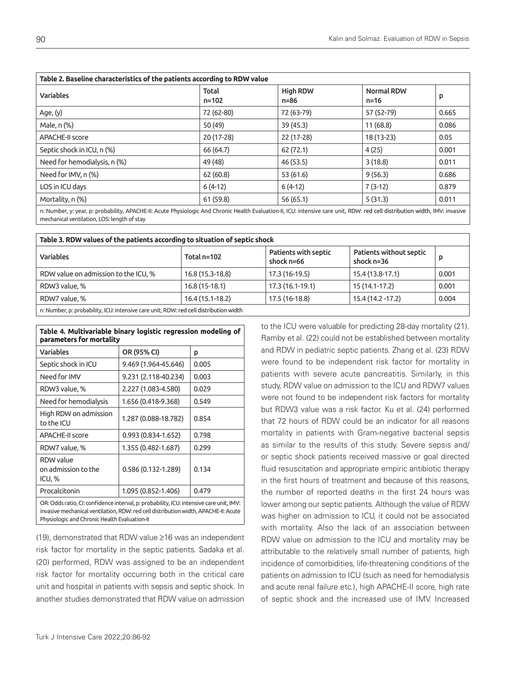| Table 2. Baseline characteristics of the patients according to RDW value                                                                                                     |                    |                         |                               |       |  |
|------------------------------------------------------------------------------------------------------------------------------------------------------------------------------|--------------------|-------------------------|-------------------------------|-------|--|
| <b>Variables</b>                                                                                                                                                             | Total<br>$n = 102$ | <b>High RDW</b><br>n=86 | <b>Normal RDW</b><br>$n = 16$ | P     |  |
| Age, (y)                                                                                                                                                                     | 72 (62-80)         | 72 (63-79)              | 57 (52-79)                    | 0.665 |  |
| Male, n (%)                                                                                                                                                                  | 50 (49)            | 39 (45.3)               | 11(68.8)                      | 0.086 |  |
| <b>APACHE-II score</b>                                                                                                                                                       | 20 (17-28)         | 22 (17-28)              | 18 (13-23)                    | 0.05  |  |
| Septic shock in ICU, n (%)                                                                                                                                                   | 66 (64.7)          | 62 (72.1)               | 4(25)                         | 0.001 |  |
| Need for hemodialysis, n (%)                                                                                                                                                 | 49 (48)            | 46 (53.5)               | 3(18.8)                       | 0.011 |  |
| Need for IMV, n (%)                                                                                                                                                          | 62(60.8)           | 53(61.6)                | 9(56.3)                       | 0.686 |  |
| LOS in ICU days                                                                                                                                                              | $6(4-12)$          | $6(4-12)$               | $7(3-12)$                     | 0.879 |  |
| Mortality, n (%)                                                                                                                                                             | 61 (59.8)          | 56(65.1)                | 5(31.3)                       | 0.011 |  |
| n: Number, y: year, p: probability, APACHE-II: Acute Physiologic And Chronic Health Evaluation-II, ICU: intensive care unit, RDW: red cell distribution width, IMV: invasive |                    |                         |                               |       |  |

mechanical ventilation, LOS: length of stay

| Table 3. RDW values of the patients according to situation of septic shock            |                   |                                      |                                         |       |  |
|---------------------------------------------------------------------------------------|-------------------|--------------------------------------|-----------------------------------------|-------|--|
| <b>Variables</b>                                                                      | Total $n=102$     | Patients with septic<br>shock $n=66$ | Patients without septic<br>shock $n=36$ | D     |  |
| RDW value on admission to the ICU, %                                                  | 16.8 (15.3-18.8)  | 17.3 (16-19.5)                       | 15.4 (13.8-17.1)                        | 0.001 |  |
| RDW3 value, %                                                                         | $16.8(15-18.1)$   | 17.3 (16.1-19.1)                     | 15 (14.1-17.2)                          | 0.001 |  |
| RDW7 value, %                                                                         | $16.4(15.1-18.2)$ | 17.5 (16-18.8)                       | 15.4 (14.2 - 17.2)                      | 0.004 |  |
| n: Number, p: probability, ICU: intensive care unit, RDW: red cell distribution width |                   |                                      |                                         |       |  |

| Table 4. Multivariable binary logistic regression modeling of<br>parameters for mortality                                                                                      |                      |       |  |
|--------------------------------------------------------------------------------------------------------------------------------------------------------------------------------|----------------------|-------|--|
| <b>Variables</b>                                                                                                                                                               | OR (95% CI)          | p     |  |
| Septic shock in ICU                                                                                                                                                            | 9.469 (1.964-45.646) | 0.005 |  |
| Need for IMV                                                                                                                                                                   | 9.231 (2.118-40.234) | 0.003 |  |
| RDW3 value, %                                                                                                                                                                  | 2.227 (1.083-4.580)  | 0.029 |  |
| Need for hemodialysis                                                                                                                                                          | 1.656 (0.418-9.368)  | 0.549 |  |
| High RDW on admission<br>to the ICU                                                                                                                                            | 1.287 (0.088-18.782) | 0.854 |  |
| <b>APACHE-II score</b>                                                                                                                                                         | $0.993(0.834-1.652)$ | 0.798 |  |
| RDW7 value, %                                                                                                                                                                  | 1.355 (0.482-1.687)  | 0.299 |  |
| <b>RDW</b> value<br>on admission to the<br>ICU, %                                                                                                                              | 0.586 (0.132-1.289)  | 0.134 |  |
| Procalcitonin                                                                                                                                                                  | 1.095 (0.852-1.406)  | 0.479 |  |
| OR: Odds ratio, CI: confidence interval, p: probability, ICU: intensive care unit, IMV:<br>invasive mechanical ventilation, RDW: red cell distribution width, APACHE-II: Acute |                      |       |  |

Physiologic and Chronic Health Evaluation-II

(19), demonstrated that RDW value ≥16 was an independent risk factor for mortality in the septic patients. Sadaka et al. (20) performed, RDW was assigned to be an independent risk factor for mortality occurring both in the critical care unit and hospital in patients with sepsis and septic shock. In another studies demonstrated that RDW value on admission to the ICU were valuable for predicting 28-day mortality (21). Ramby et al. (22) could not be established between mortality and RDW in pediatric septic patients. Zhang et al. (23) RDW were found to be independent risk factor for mortality in patients with severe acute pancreatitis. Similarly, in this study, RDW value on admission to the ICU and RDW7 values were not found to be independent risk factors for mortality but RDW3 value was a risk factor. Ku et al. (24) performed that 72 hours of RDW could be an indicator for all reasons mortality in patients with Gram-negative bacterial sepsis as similar to the results of this study. Severe sepsis and/ or septic shock patients received massive or goal directed fluid resuscitation and appropriate empiric antibiotic therapy in the first hours of treatment and because of this reasons, the number of reported deaths in the first 24 hours was lower among our septic patients. Although the value of RDW was higher on admission to ICU, it could not be associated with mortality. Also the lack of an association between RDW value on admission to the ICU and mortality may be attributable to the relatively small number of patients, high incidence of comorbidities, life-threatening conditions of the patients on admission to ICU (such as need for hemodialysis and acute renal failure etc.), high APACHE-II score, high rate of septic shock and the increased use of IMV. Increased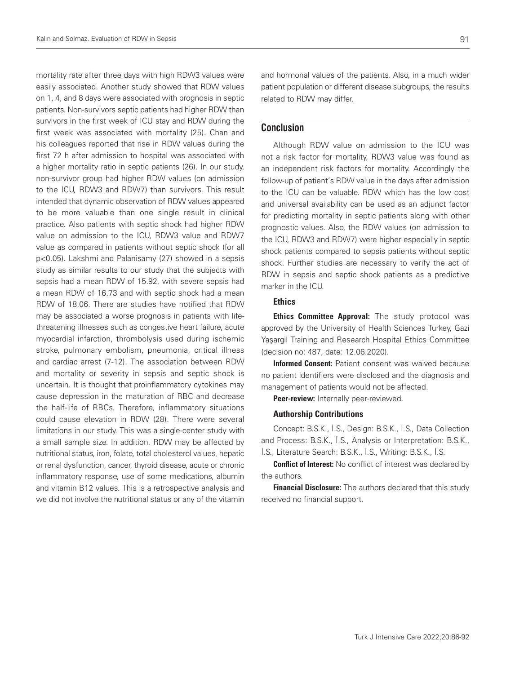mortality rate after three days with high RDW3 values were easily associated. Another study showed that RDW values on 1, 4, and 8 days were associated with prognosis in septic patients. Non-survivors septic patients had higher RDW than survivors in the first week of ICU stay and RDW during the first week was associated with mortality (25). Chan and his colleagues reported that rise in RDW values during the first 72 h after admission to hospital was associated with a higher mortality ratio in septic patients (26). In our study, non-survivor group had higher RDW values (on admission to the ICU, RDW3 and RDW7) than survivors. This result intended that dynamic observation of RDW values appeared to be more valuable than one single result in clinical practice. Also patients with septic shock had higher RDW value on admission to the ICU, RDW3 value and RDW7 value as compared in patients without septic shock (for all p<0.05). Lakshmi and Palanisamy (27) showed in a sepsis study as similar results to our study that the subjects with sepsis had a mean RDW of 15.92, with severe sepsis had a mean RDW of 16.73 and with septic shock had a mean RDW of 18.06. There are studies have notified that RDW may be associated a worse prognosis in patients with lifethreatening illnesses such as congestive heart failure, acute myocardial infarction, thrombolysis used during ischemic stroke, pulmonary embolism, pneumonia, critical illness and cardiac arrest (7-12). The association between RDW and mortality or severity in sepsis and septic shock is uncertain. It is thought that proinflammatory cytokines may cause depression in the maturation of RBC and decrease the half-life of RBCs. Therefore, inflammatory situations could cause elevation in RDW (28). There were several limitations in our study. This was a single-center study with a small sample size. In addition, RDW may be affected by nutritional status, iron, folate, total cholesterol values, hepatic or renal dysfunction, cancer, thyroid disease, acute or chronic inflammatory response, use of some medications, albumin and vitamin B12 values. This is a retrospective analysis and we did not involve the nutritional status or any of the vitamin

and hormonal values of the patients. Also, in a much wider patient population or different disease subgroups, the results related to RDW may differ.

# **Conclusion**

Although RDW value on admission to the ICU was not a risk factor for mortality, RDW3 value was found as an independent risk factors for mortality. Accordingly the follow-up of patient's RDW value in the days after admission to the ICU can be valuable. RDW which has the low cost and universal availability can be used as an adjunct factor for predicting mortality in septic patients along with other prognostic values. Also, the RDW values (on admission to the ICU, RDW3 and RDW7) were higher especially in septic shock patients compared to sepsis patients without septic shock. Further studies are necessary to verify the act of RDW in sepsis and septic shock patients as a predictive marker in the ICU.

## **Ethics**

**Ethics Committee Approval:** The study protocol was approved by the University of Health Sciences Turkey, Gazi Yaşargil Training and Research Hospital Ethics Committee (decision no: 487, date: 12.06.2020).

Informed Consent: Patient consent was waived because no patient identifiers were disclosed and the diagnosis and management of patients would not be affected.

Peer-review: Internally peer-reviewed.

#### Authorship Contributions

Concept: B.S.K., İ.S., Design: B.S.K., İ.S., Data Collection and Process: B.S.K., İ.S., Analysis or Interpretation: B.S.K., İ.S., Literature Search: B.S.K., İ.S., Writing: B.S.K., İ.S.

**Conflict of Interest:** No conflict of interest was declared by the authors.

Financial Disclosure: The authors declared that this study received no financial support.